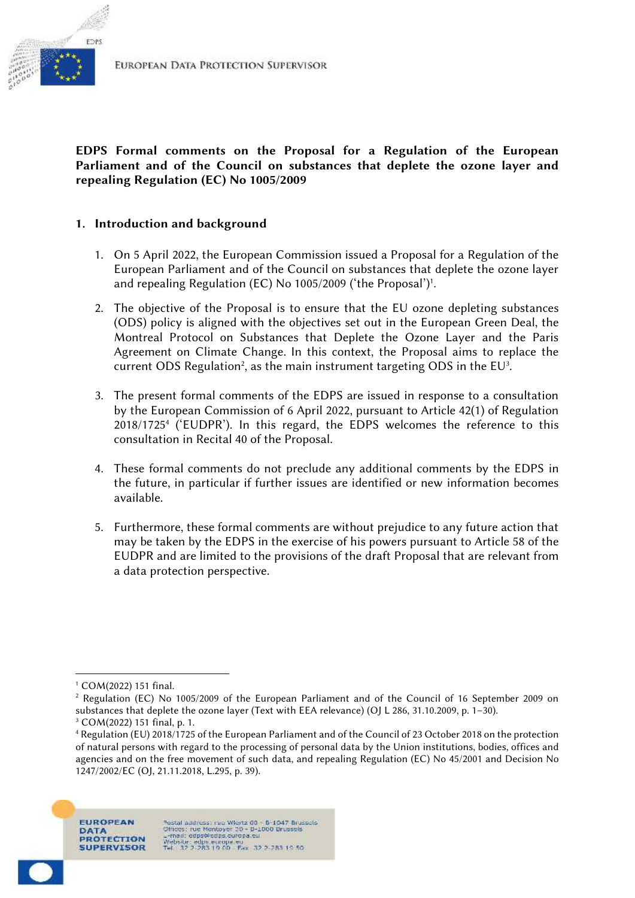

## **EDPS Formal comments on the Proposal for a Regulation of the European Parliament and of the Council on substances that deplete the ozone layer and repealing Regulation (EC) No 1005/2009**

## **1. Introduction and background**

- 1. On 5 April 2022, the European Commission issued a Proposal for a Regulation of the European Parliament and of the Council on substances that deplete the ozone layer and repealing Regulation (EC) No 1005/2009 ('the Proposal')<sup>1</sup> .
- 2. The objective of the Proposal is to ensure that the EU ozone depleting substances (ODS) policy is aligned with the objectives set out in the European Green Deal, the Montreal Protocol on Substances that Deplete the Ozone Layer and the Paris Agreement on Climate Change. In this context, the Proposal aims to replace the current ODS Regulation<sup>2</sup>, as the main instrument targeting ODS in the EU<sup>3</sup>.
- 3. The present formal comments of the EDPS are issued in response to a consultation by the European Commission of 6 April 2022, pursuant to Article 42(1) of Regulation 2018/1725<sup>4</sup> ('EUDPR'). In this regard, the EDPS welcomes the reference to this consultation in Recital 40 of the Proposal.
- 4. These formal comments do not preclude any additional comments by the EDPS in the future, in particular if further issues are identified or new information becomes available.
- 5. Furthermore, these formal comments are without prejudice to any future action that may be taken by the EDPS in the exercise of his powers pursuant to Article 58 of the EUDPR and are limited to the provisions of the draft Proposal that are relevant from a data protection perspective.

<sup>1</sup> COM(2022) 151 final.

<sup>2</sup> Regulation (EC) No 1005/2009 of the European Parliament and of the Council of 16 September 2009 on substances that deplete the ozone layer (Text with EEA relevance) (OJ L 286, 31.10.2009, p. 1–30).

<sup>3</sup> COM(2022) 151 final, p. 1.

<sup>4</sup> Regulation (EU) 2018/1725 of the European Parliament and of the Council of 23 October 2018 on the protection of natural persons with regard to the processing of personal data by the Union institutions, bodies, offices and agencies and on the free movement of such data, and repealing Regulation (EC) No 45/2001 and Decision No 1247/2002/EC (OJ, 21.11.2018, L.295, p. 39).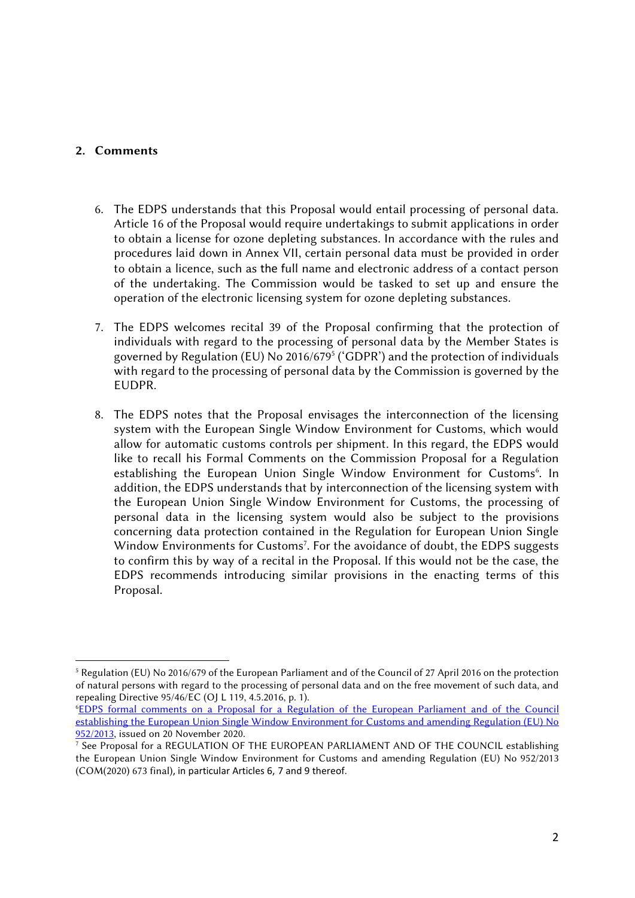## **2. Comments**

- 6. The EDPS understands that this Proposal would entail processing of personal data. Article 16 of the Proposal would require undertakings to submit applications in order to obtain a license for ozone depleting substances. In accordance with the rules and procedures laid down in Annex VII, certain personal data must be provided in order to obtain a licence, such as the full name and electronic address of a contact person of the undertaking. The Commission would be tasked to set up and ensure the operation of the electronic licensing system for ozone depleting substances.
- 7. The EDPS welcomes recital 39 of the Proposal confirming that the protection of individuals with regard to the processing of personal data by the Member States is governed by Regulation (EU) No 2016/679<sup>5</sup> ('GDPR') and the protection of individuals with regard to the processing of personal data by the Commission is governed by the EUDPR.
- 8. The EDPS notes that the Proposal envisages the interconnection of the licensing system with the European Single Window Environment for Customs, which would allow for automatic customs controls per shipment. In this regard, the EDPS would like to recall his Formal Comments on the Commission Proposal for a Regulation establishing the European Union Single Window Environment for Customs<sup>6</sup>. In addition, the EDPS understands that by interconnection of the licensing system with the European Union Single Window Environment for Customs, the processing of personal data in the licensing system would also be subject to the provisions concerning data protection contained in the Regulation for European Union Single Window Environments for Customs<sup>7</sup>. For the avoidance of doubt, the EDPS suggests to confirm this by way of a recital in the Proposal. If this would not be the case, the EDPS recommends introducing similar provisions in the enacting terms of this Proposal.

<sup>5</sup> Regulation (EU) No 2016/679 of the European Parliament and of the Council of 27 April 2016 on the protection of natural persons with regard to the processing of personal data and on the free movement of such data, and repealing Directive 95/46/EC (OJ L 119, 4.5.2016, p. 1).

<sup>6</sup>EDPS formal comments on a Proposal for a Regulation of the European Parliament and of the Council establishing the European Union Single Window Environment for Customs and amending Regulation (EU) No 952/2013, issued on 20 November 2020.

<sup>7</sup> See Proposal for a REGULATION OF THE EUROPEAN PARLIAMENT AND OF THE COUNCIL establishing the European Union Single Window Environment for Customs and amending Regulation (EU) No 952/2013 (COM(2020) 673 final), in particular Articles 6, 7 and 9 thereof.